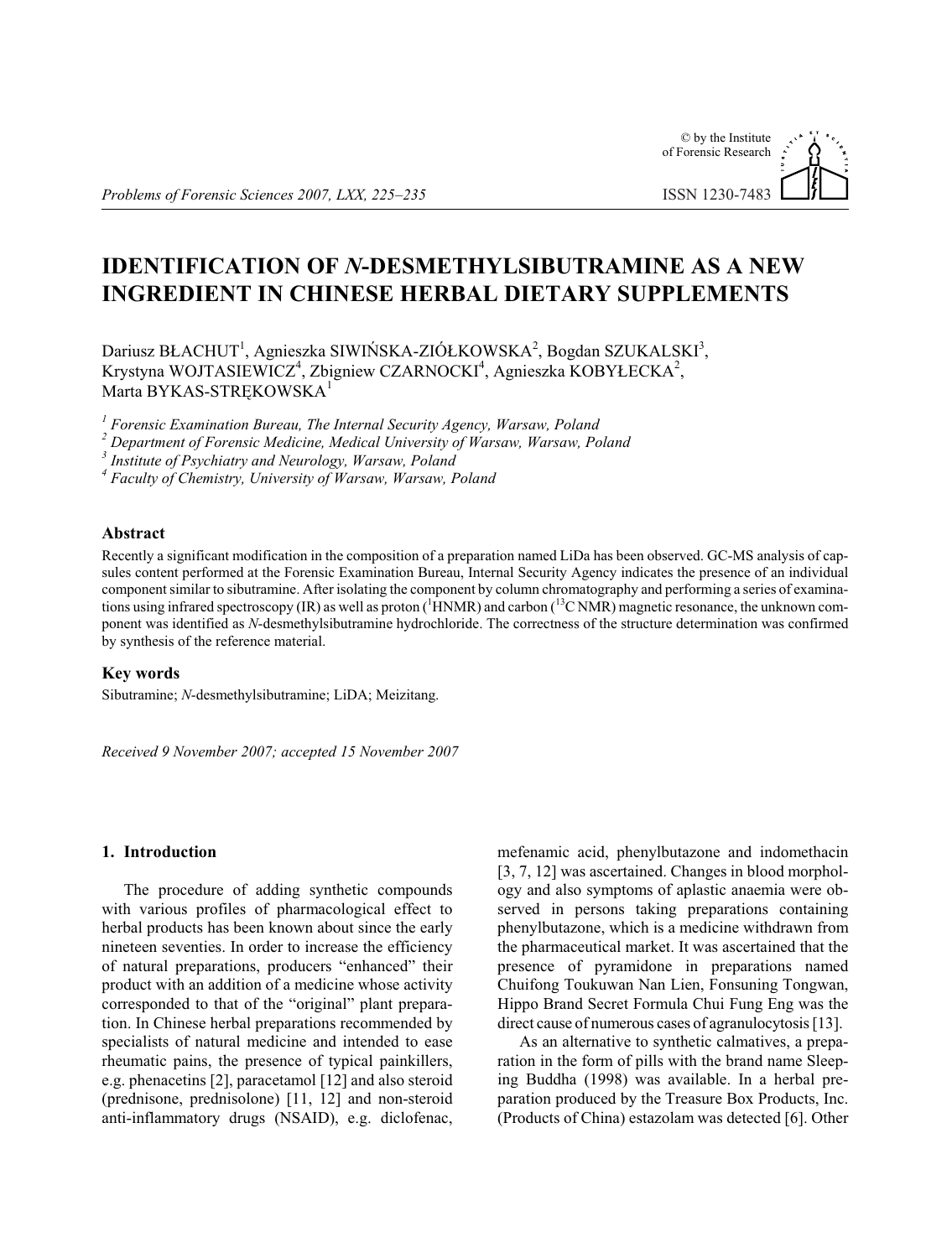# © by the Institute of Forensic Research ISSN 1230-7483

# **IDENTIFICATION OF** *N***-DESMETHYLSIBUTRAMINE AS A NEW INGREDIENT IN CHINESE HERBAL DIETARY SUPPLEMENTS**

Dariusz BŁACHUT<sup>1</sup>, Agnieszka SIWIŃSKA-ZIÓŁKOWSKA<sup>2</sup>, Bogdan SZUKALSKI<sup>3</sup>, Krystyna WOJTASIEWICZ<sup>4</sup>, Zbigniew CZARNOCKI<sup>4</sup>, Agnieszka KOBYŁECKA<sup>2</sup>, Marta BYKAS-STREKOWSKA<sup>1</sup>

<sup>1</sup> Forensic Examination Bureau, The Internal Security Agency, Warsaw, Poland

<sup>2</sup> Department of Forensic Medicine, Medical University of Warsaw, Warsaw, Poland

<sup>3</sup> Institute of Psychiatry and Neurology, Warsaw, Poland

<sup>4</sup> Faculty of Chemistry, University of Warsaw, Warsaw, Poland

# **Ab stract**

Recently a significant modification in the composition of a preparation named LiDa has been observed. GC-MS analysis of capsules content performed at the Forensic Examination Bureau, Internal Security Agency indicates the presence of an individual component similar to sibutramine. After isolating the component by column chromatography and performing a series of examinations using infrared spectroscopy (IR) as well as proton ( ${}^{1}$ HNMR) and carbon ( ${}^{13}$ C NMR) magnetic resonance, the unknown component was identified as *N*-desmethylsibutramine hydrochloride. The correctness of the structure determination was confirmed by synthesis of the reference material.

# **Key words**

Sibutramine; *N*-desmethylsibutramine; LiDA; Meizitang.

*Re ceived 9 No vem ber 2007; accepted 15 No vem ber 2007*

# 1. **Introduction**

The procedure of adding synthetic compounds with various profiles of pharmacological effect to herbal products has been known about since the early nine teen seventies. In order to increase the efficiency of natural preparations, producers "enhanced" their product with an addition of a medicine whose activity corresponded to that of the "original" plant preparation. In Chinese herbal preparations recommended by specialists of natural medicine and intended to ease rheumatic pains, the presence of typical painkillers, e.g. phenacetins [2], paracetamol [12] and also steroid (prednisone, prednisolone)  $[11, 12]$  and non-steroid anti-in flamma tory drugs (NSAID), e.g. diclofenac, mefenamic acid, phenylbutazone and indomethacin  $[3, 7, 12]$  was ascertained. Changes in blood morphology and also symptoms of aplastic anaemia were observed in persons taking preparations containing phenylbutazone, which is a medicine withdrawn from the pharmaceutical market. It was ascertained that the presence of pyramidone in preparations named Chuifong Toukuwan Nan Lien, Fonsuning Tongwan, Hippo Brand Secret Formula Chui Fung Eng was the direct cause of numerous cases of agranulocytosis [13].

As an alternative to synthetic calmatives, a preparation in the form of pills with the brand name Sleeping Buddha (1998) was available. In a herbal preparation produced by the Treasure Box Products, Inc. (Products of China) estazolam was detected [6]. Other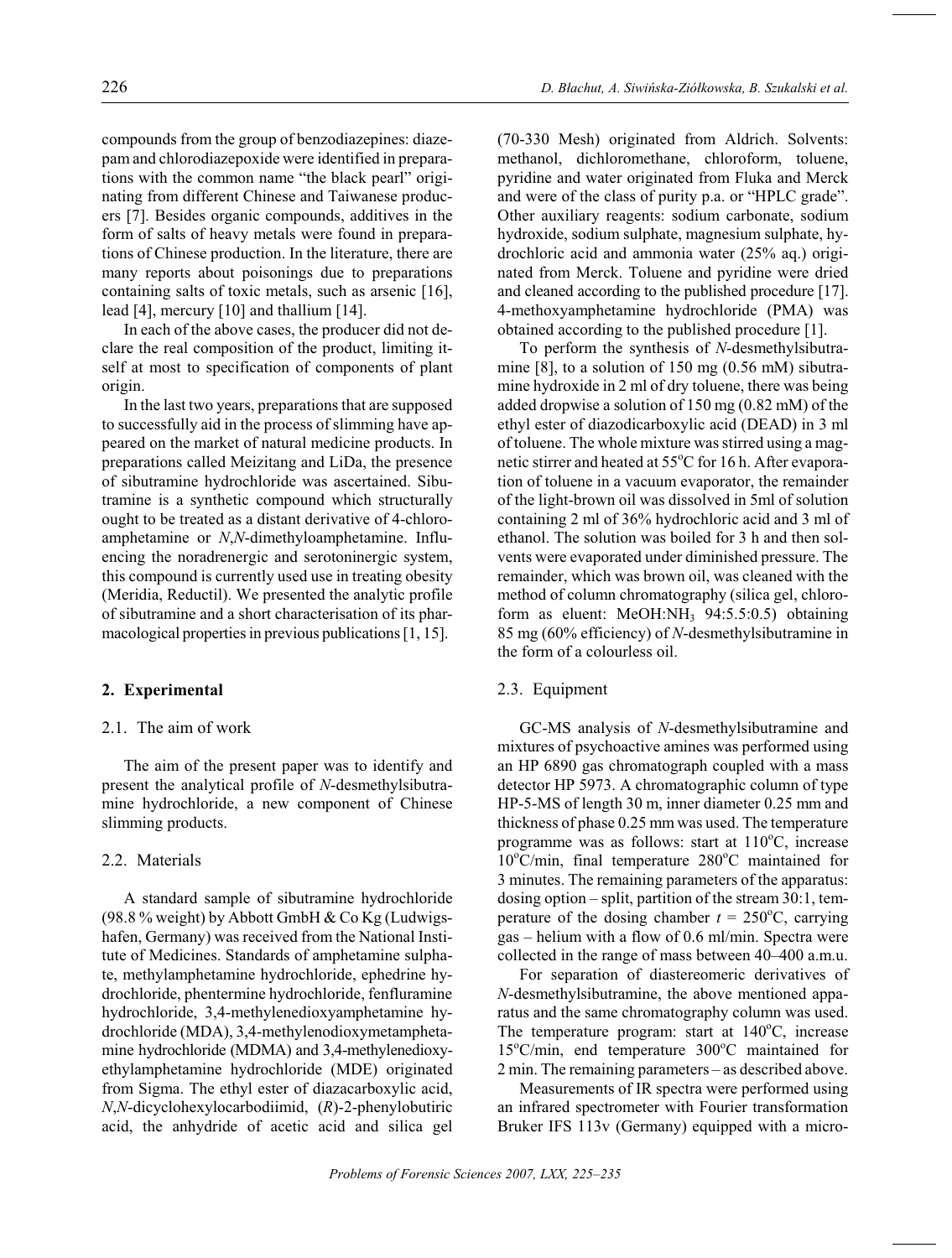compounds from the group of benzodiazepines: diazepam and chlorodiazepoxide were identified in preparations with the common name "the black pearl" originating from different Chinese and Taiwanese producers [7]. Besides organic compounds, additives in the form of salts of heavy metals were found in preparations of Chinese production. In the literature, there are many reports about poisonings due to preparations containing salts of toxic metals, such as arsenic [16], lead [4], mercury [10] and thallium [14].

In each of the above cases, the producer did not declare the real composition of the product, limiting itself at most to specification of components of plant origin.

In the last two years, preparations that are supposed to successfully aid in the process of slimming have appeared on the market of natural medicine products. In preparations called Meizitang and LiDa, the presence of sibutramine hydrochloride was ascertained. Sibutramine is a synthetic compound which structurally ought to be treated as a distant derivative of 4-chloroamphetamine or N,N-dimethyloamphetamine. Influencing the noradrenergic and serotoninergic system, this compound is currently used use in treating obesity (Meridia, Reductil). We presented the analytic profile of sibutramine and a short characterisation of its pharmacological properties in previous publications [1, 15].

### 2. Experimental

## 2.1. The aim of work

The aim of the present paper was to identify and present the analytical profile of N-desmethylsibutramine hydrochloride, a new component of Chinese slimming products.

# 2.2. Materials

A standard sample of sibutramine hydrochloride (98.8 % weight) by Abbott GmbH & Co Kg (Ludwigshafen, Germany) was received from the National Institute of Medicines. Standards of amphetamine sulphate, methylamphetamine hydrochloride, ephedrine hydrochloride, phentermine hydrochloride, fenfluramine hydrochloride, 3,4-methylenedioxyamphetamine hydrochloride (MDA), 3,4-methylenodioxymetamphetamine hydrochloride (MDMA) and 3,4-methylenedioxyethylamphetamine hydrochloride (MDE) originated from Sigma. The ethyl ester of diazacarboxylic acid,  $N, N$ -dicyclohexylocarbodiimid,  $(R)$ -2-phenylobutiric acid, the anhydride of acetic acid and silica gel (70-330 Mesh) originated from Aldrich. Solvents: methanol, dichloromethane, chloroform, toluene, pyridine and water originated from Fluka and Merck and were of the class of purity p.a. or "HPLC grade". Other auxiliary reagents: sodium carbonate, sodium hydroxide, sodium sulphate, magnesium sulphate, hydrochloric acid and ammonia water (25% aq.) originated from Merck. Toluene and pyridine were dried and cleaned according to the published procedure [17]. 4-methoxyamphetamine hydrochloride (PMA) was obtained according to the published procedure [1].

To perform the synthesis of N-desmethylsibutramine [8], to a solution of 150 mg  $(0.56 \text{ mM})$  sibutramine hydroxide in 2 ml of dry toluene, there was being added dropwise a solution of  $150 \text{ mg}$  (0.82 mM) of the ethyl ester of diazodicarboxylic acid (DEAD) in 3 ml of toluene. The whole mixture was stirred using a magnetic stirrer and heated at 55°C for 16 h. After evaporation of toluene in a vacuum evaporator, the remainder of the light-brown oil was dissolved in 5ml of solution containing 2 ml of 36% hydrochloric acid and 3 ml of ethanol. The solution was boiled for 3 h and then solvents were evaporated under diminished pressure. The remainder, which was brown oil, was cleaned with the method of column chromatography (silica gel, chloroform as eluent: MeOH:NH<sub>3</sub> 94:5.5:0.5) obtaining 85 mg (60% efficiency) of N-desmethylsibutramine in the form of a colourless oil.

### 2.3. Equipment

GC-MS analysis of N-desmethylsibutramine and mixtures of psychoactive amines was performed using an HP 6890 gas chromatograph coupled with a mass detector HP 5973. A chromatographic column of type HP-5-MS of length 30 m, inner diameter 0.25 mm and thickness of phase 0.25 mm was used. The temperature programme was as follows: start at  $110^{\circ}$ C, increase  $10^{\circ}$ C/min, final temperature 280 $^{\circ}$ C maintained for 3 minutes. The remaining parameters of the apparatus: dosing option  $-$  split, partition of the stream 30:1, temperature of the dosing chamber  $t = 250^{\circ}$ C, carrying gas - helium with a flow of 0.6 ml/min. Spectra were collected in the range of mass between 40–400 a.m.u.

For separation of diastereomeric derivatives of *N*-desmethylsibutramine, the above mentioned apparatus and the same chromatography column was used. The temperature program: start at  $140^{\circ}$ C, increase  $15^{\circ}$ C/min, end temperature  $300^{\circ}$ C maintained for 2 min. The remaining parameters – as described above.

Measurements of IR spectra were performed using an infrared spectrometer with Fourier transformation Bruker IFS 113v (Germany) equipped with a micro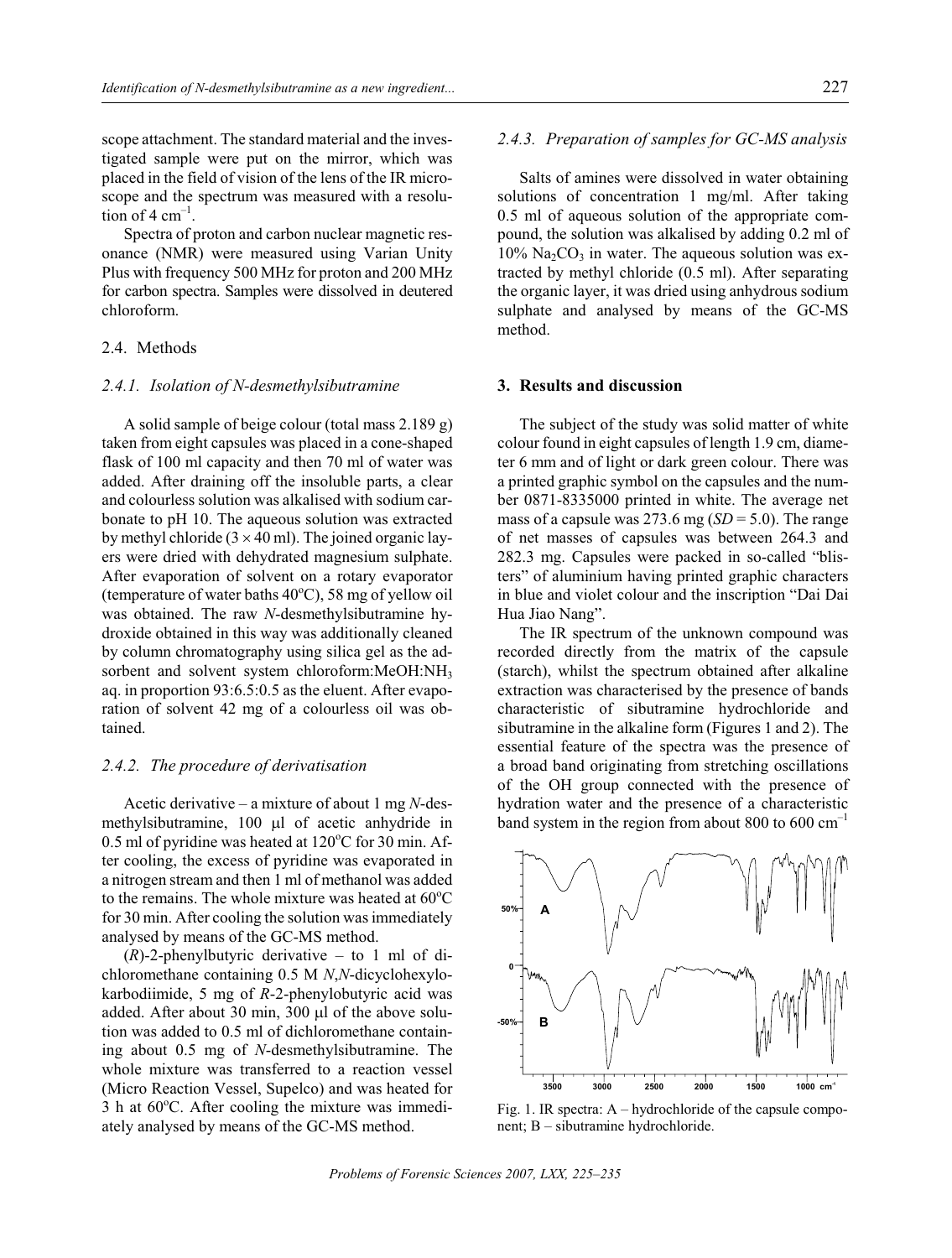scope attachment. The standard material and the investigated sample were put on the mirror, which was placed in the field of vision of the lens of the IR microscope and the spectrum was measured with a resolution of 4  $cm^{-1}$ .

Spectra of proton and carbon nuclear magnetic resonance (NMR) were measured using Varian Unity Plus with frequency 500 MHz for proton and 200 MHz for carbon spectra. Samples were dissolved in deutered chloroform.

#### 2.4. Methods

## *2.4.1. Iso la tion of N-desmethylsibutramine*

A solid sample of beige colour (total mass  $2.189$  g) taken from eight capsules was placed in a cone-shaped flask of 100 ml capacity and then 70 ml of water was added. After draining off the insoluble parts, a clear and colourless solution was alkalised with sodium carbonate to pH 10. The aqueous solution was extracted by methyl chloride (3 40 ml). The joined organic layers were dried with dehydrated magnesium sulphate. After evaporation of solvent on a rotary evaporator (temperature of water baths  $40^{\circ}$ C), 58 mg of yellow oil was obtained. The raw *N*-desmethylsibutramine hydroxide obtained in this way was additionally cleaned by column chromatography using silica gel as the adsorbent and solvent system chloroform:MeOH:NH<sub>3</sub> aq. in proportion 93:6.5:0.5 as the eluent. After evaporation of solvent 42 mg of a colourless oil was obtained.

## *2.4.2. The pro ced ure of de rivat isa tion*

Acetic derivative – a mixture of about 1 mg *N*-desmethylsibutramine, 100 1 of acetic anhydride in  $0.5$  ml of pyridine was heated at  $120^{\circ}$ C for 30 min. After cooling, the excess of pyridine was evaporated in a nitrogen stream and then 1 ml of methanol was added to the remains. The whole mixture was heated at  $60^{\circ}$ C for 30 min. After cooling the solution was immediately analysed by means of the GC-MS method.

 $(R)$ -2-phenylbutyric derivative – to 1 ml of dichloromethane containing 0.5 M *N*,*N*-dicyclohexylokarbodiimide, 5 mg of *R*-2-phenylobutyric acid was added. After about 30 min,  $300 \text{ } 1$  of the above solution was added to 0.5 ml of dichloromethane containing about 0.5 mg of *N*-desmethylsibutramine. The whole mixture was transferred to a reaction vessel (Micro Reaction Vessel, Supelco) and was heated for  $3 h$  at  $60^{\circ}$ C. After cooling the mixture was immediately analysed by means of the GC-MS method.

#### 2.4.3. Preparation of samples for GC-MS analysis

Salts of amines were dissolved in water obtaining solutions of concentration 1 mg/ml. After taking 0.5 ml of aqueous solution of the appropriate compound, the solution was alkalised by adding 0.2 ml of  $10\%$  Na<sub>2</sub>CO<sub>3</sub> in water. The aqueous solution was extracted by methyl chloride  $(0.5 \text{ ml})$ . After separating the organic layer, it was dried using an hy drous so dium sulphate and analysed by means of the GC-MS method.

# **3. Results and discussion**

The subject of the study was solid matter of white colour found in eight capsules of length 1.9 cm, diameter 6 mm and of light or dark green colour. There was a printed graphic symbol on the capsules and the number 0871-8335000 printed in white. The average net mass of a capsule was  $273.6$  mg (*SD* = 5.0). The range of net masses of capsules was between 264.3 and 282.3 mg. Capsules were packed in so-called "blisters" of aluminium having printed graphic characters in blue and violet colour and the inscription "Dai Dai Hua Jiao Nang".

The IR spectrum of the unknown compound was recorded directly from the matrix of the capsule (starch), whilst the spectrum obtained after alkaline extraction was characterised by the presence of bands characteristic of sibutramine hydrochloride and sibutramine in the alkaline form (Figures 1 and 2). The essential feature of the spectra was the presence of a broad band originating from stretching oscillations of the OH group con nected with the presence of hydration water and the presence of a characteristic band system in the region from about 800 to 600  $cm^{-1}$ 



Fig. 1. IR spectra:  $A - hydrochloride$  of the capsule component;  $B - s$ ibutramine hydrochloride.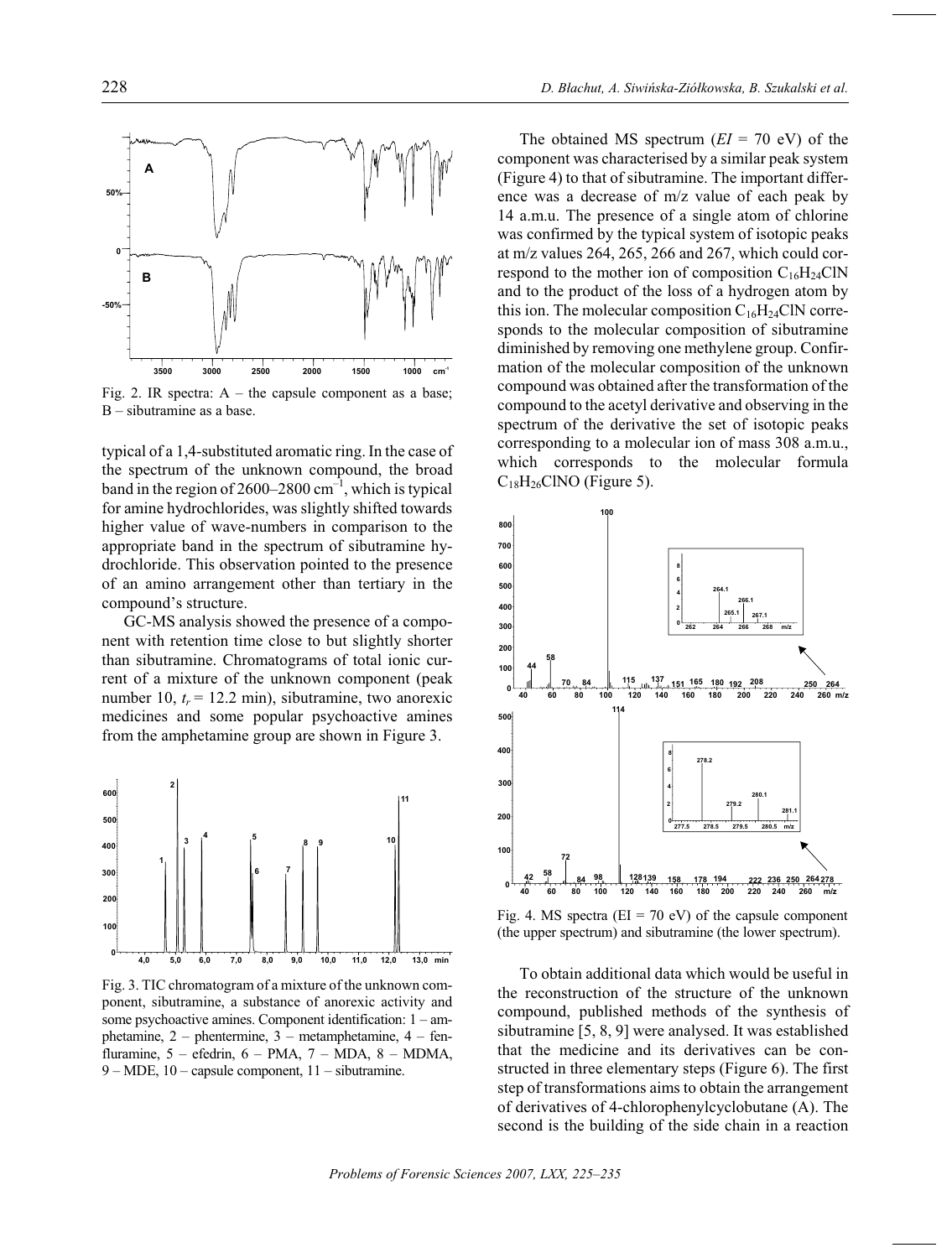

Fig. 2. IR spectra:  $A$  – the capsule component as a base; B – sibutramine as a base.

typical of a 1,4-substituted aromatic ring. In the case of the spectrum of the unknown compound, the broad band in the region of  $2600-2800$  cm<sup>-1</sup>, which is typical for amine hydrochlorides, was slightly shifted towards higher value of wave-numbers in comparison to the appropriate band in the spectrum of sibutramine hydro chloride. This observation pointed to the presence of an amino arrangement other than tertiary in the compound's structure.

GC-MS analysis showed the presence of a component with retention time close to but slightly shorter than sibutramine. Chromatograms of total ionic current of a mixture of the unknown component (peak number 10,  $t_r = 12.2$  min), sibutramine, two anorexic medicines and some popular psychoactive amines from the amphetamine group are shown in Figure 3.



Fig. 3. TIC chromatogram of a mixture of the unknown component, sibutramine, a substance of anorexic activity and some psychoactive amines. Component identification:  $1 - am$ phetamine,  $2$  – phentermine,  $3$  – metamphetamine,  $4$  – fenfluramine,  $5 - e$ fedrin,  $6 - PMA$ ,  $7 - MDA$ ,  $8 - MDMA$ ,  $9 - \text{MDE}$ , 10 – capsule component, 11 – sibutramine.

The obtained MS spectrum  $(EI = 70 \text{ eV})$  of the component was characterised by a similar peak system (Figure 4) to that of sibutramine. The important difference was a decrease of  $m/z$  value of each peak by 14 a.m.u. The presence of a single atom of chlorine was confirmed by the typical system of isotopic peaks at m/z values 264, 265, 266 and 267, which could correspond to the mother ion of composition  $C_{16}H_{24}C\text{IN}$ and to the product of the loss of a hydrogen atom by this ion. The molecular composition  $C_{16}H_{24}C$  CN corresponds to the molecular composition of sibutramine diminished by removing one methylene group. Confirmation of the molecular composition of the unknown compound was obtained after the transformation of the compound to the acetyl derivative and observing in the spectrum of the derivative the set of isotopic peaks corresponding to a molecular ion of mass 308 a.m.u., which corresponds to the molecular formula  $C_{18}H_{26}CINO$  (Figure 5).



Fig. 4. MS spectra ( $EI = 70$  eV) of the capsule component (the upper spectrum) and sibutramine (the lower spectrum).

To obtain additional data which would be useful in the reconstruction of the structure of the unknown compound, published methods of the synthesis of sibutramine [5, 8, 9] were analysed. It was established that the medicine and its derivatives can be constructed in three elementary steps (Figure  $6$ ). The first step of transformations aims to obtain the arrangement of derivatives of 4-chlorophenylcyclobutane (A). The second is the building of the side chain in a reaction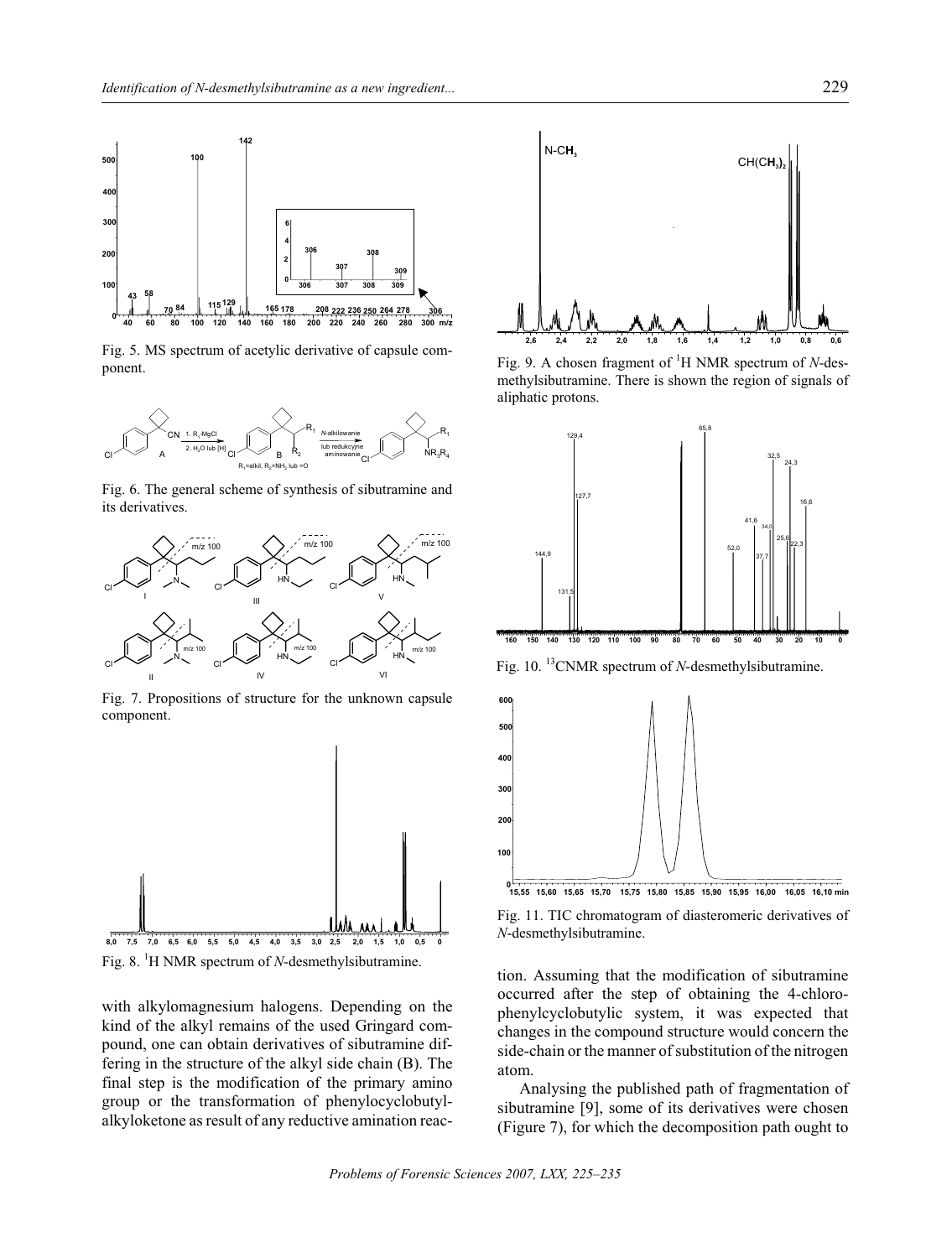

Fig. 5. MS spectrum of acetylic derivative of capsule component.



Fig. 6. The general scheme of synthesis of sibutramine and its derivatives.



Fig. 7. Propositions of structure for the unknown capsule component.



Fig. 8.  ${}^{1}$ H NMR spectrum of *N*-desmethylsibutramine.

with alkylomagnesium halogens. Depending on the kind of the alkyl remains of the used Gringard compound, one can obtain derivatives of sibutramine differing in the structure of the alkyl side chain (B). The final step is the modification of the primary amino group or the transformation of phenylocyclobutylalkyloketone as result of any reductive amination reac-



Fig. 9. A chosen fragment of <sup>1</sup>H NMR spectrum of N-desmethylsibutramine. There is shown the region of signals of aliphatic protons.



Fig. 10. <sup>13</sup>CNMR spectrum of *N*-desmethylsibutramine.



0<br>15,55 15,60 15,65 15,70 15,75 15,80 15,85 15,90 15,95 16,00 16,05 16,10 min



tion. Assuming that the modification of sibutramine occurred after the step of obtaining the 4-chlorophenylcyclobutylic system, it was expected that changes in the compound structure would concern the side-chain or the manner of substitution of the nitrogen atom.

Analysing the published path of fragmentation of sibutramine [9], some of its derivatives were chosen (Figure 7), for which the decomposition path ought to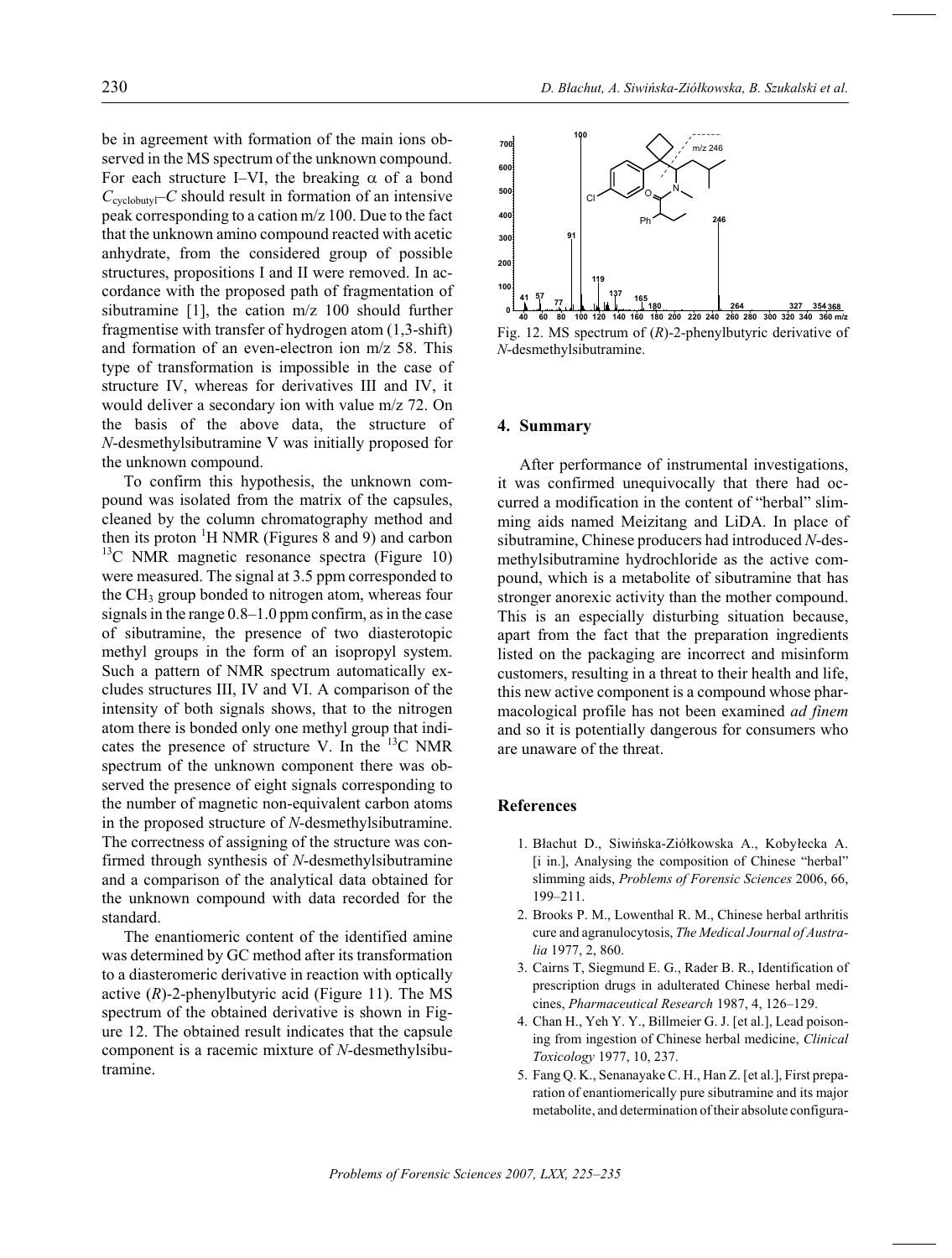be in agreement with formation of the main ions observed in the MS spectrum of the unknown compound. For each structure I–VI, the breaking of a bond  $C_{\text{cyclobutyl}}$ –*C* should result in formation of an intensive peak corresponding to a cation  $m/z$  100. Due to the fact that the unknown amino compound reacted with acetic anhydrate, from the considered group of possible structures, propositions I and II were removed. In accordance with the proposed path of fragmentation of sibutramine [1], the cation  $m/z$  100 should further fragmentise with transfer of hydrogen atom (1,3-shift)

and formation of an even-electron ion  $m/z$  58. This type of transformation is impossible in the case of structure IV, whereas for derivatives III and IV, it would deliver a secondary ion with value  $m/z$  72. On the basis of the above data, the structure of *N*-desmethylsibutramine V was initially proposed for the unknown compound.

To confirm this hypothesis, the unknown compound was isolated from the matrix of the capsules, cleaned by the column chromatography method and then its proton  $\mathrm{H}$  NMR (Figures 8 and 9) and carbon  $13C$  NMR magnetic resonance spectra (Figure 10) were measured. The signal at 3.5 ppm corresponded to the  $CH<sub>3</sub>$  group bonded to nitrogen atom, whereas four signals in the range  $0.8-1.0$  ppm confirm, as in the case of sibutramine, the presence of two diasterotopic methyl groups in the form of an isopropyl system. Such a pattern of NMR spectrum automatically excludes structures III, IV and VI. A comparison of the intensity of both signals shows, that to the nitrogen atom there is bonded only one methyl group that indicates the presence of structure V. In the  $^{13}$ C NMR spectrum of the unknown component there was observed the presence of eight signals corresponding to the number of magnetic non-equivalent carbon atoms in the proposed structure of *N*-desmethylsibutramine. The correctness of assigning of the structure was confirmed through synthesis of *N*-desmethylsibutramine and a comparison of the analytical data obtained for the unknown compound with data recorded for the standard.

The enantiomeric content of the identified amine was determined by GC method after its transformation to a diasteromeric derivative in reaction with optically active  $(R)$ -2-phenylbutyric acid (Figure 11). The MS spectrum of the obtained derivative is shown in Figure 12. The obtained result indicates that the capsule component is a racemic mixture of *N*-desmethyl sibutramine.



Fig. 12. MS spectrum of (R)-2-phenylbutyric derivative of *N*-desmethylsibutramine.

#### **4. Sum mary**

After performance of instrumental investigations, it was confirmed unequivocally that there had occurred a modification in the content of "herbal" slimming aids named Meizitang and LiDA. In place of sibutramine, Chinese producers had introduced *N*-desmethylsibutramine hydrochloride as the active compound, which is a metabolite of sibutramine that has stronger anorexic activity than the mother compound. This is an especially disturbing situation because, apart from the fact that the preparation ingredients listed on the packaging are incorrect and misinform customers, resulting in a threat to their health and life, this new active component is a compound whose pharmacological profile has not been examined *ad finem* and so it is potentially dangerous for consumers who are unaware of the threat.

### **Re fer ences**

- 1. Błachut D., Siwińska-Ziółkowska A., Kobyłecka A. [i in.], Analysing the composition of Chinese "herbal" slimming aids, *Problems of Forensic Sciences* 2006, 66, 199–211.
- 2. Brooks P. M., Lowenthal R. M., Chinese herbal arthritis cure and agranulocytosis, *The Medical Journal of Australia* 1977, 2, 860.
- 3. Cairns T, Siegmund E. G., Rader B. R., Identification of prescription drugs in adulterated Chinese herbal medicines, *Pharmaceutical Research* 1987, 4, 126-129.
- 4. Chan H., Yeh Y. Y., Billmeier G. J. [et al.], Lead poisoning from ingestion of Chinese herbal medicine, *Clinical Tox i col ogy* 1977, 10, 237.
- 5. Fang Q. K., Senanayake C. H., Han Z. [et al.], First preparation of enantiomerically pure sibutramine and its major metabolite, and determination of their absolute configura-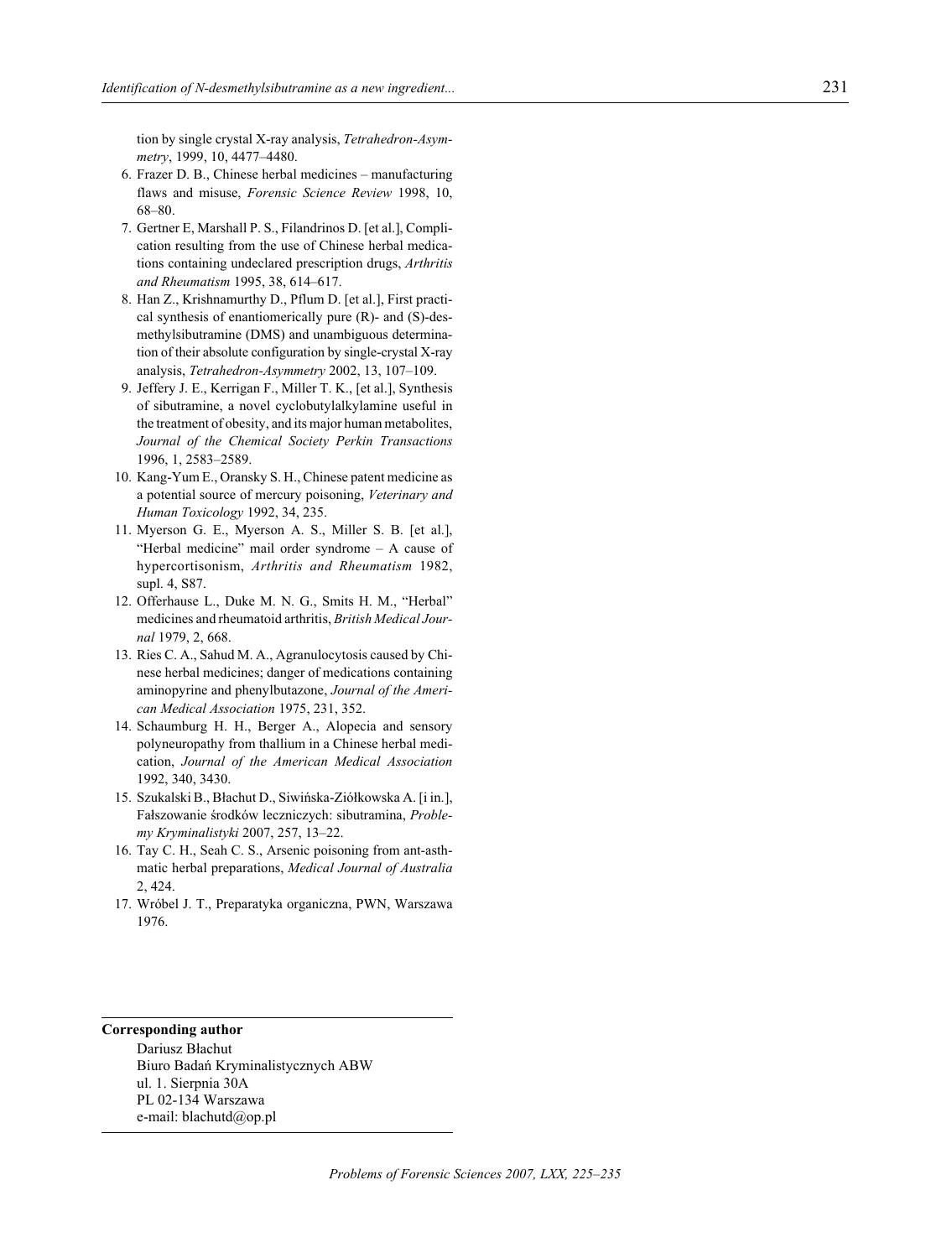tion by single crystal X-ray analysis, Tetrahedron-Asymmetry, 1999, 10, 4477-4480.

- 6. Frazer D. B., Chinese herbal medicines manufacturing flaws and misuse, Forensic Science Review 1998, 10,  $68 - 80.$
- 7. Gertner E, Marshall P. S., Filandrinos D. [et al.], Complication resulting from the use of Chinese herbal medications containing undeclared prescription drugs, Arthritis and Rheumatism 1995, 38, 614-617.
- 8. Han Z., Krishnamurthy D., Pflum D. [et al.], First practical synthesis of enantiomerically pure (R)- and (S)-desmethylsibutramine (DMS) and unambiguous determination of their absolute configuration by single-crystal X-ray analysis, Tetrahedron-Asymmetry 2002, 13, 107-109.
- 9. Jeffery J. E., Kerrigan F., Miller T. K., [et al.], Synthesis of sibutramine, a novel cyclobutylalkylamine useful in the treatment of obesity, and its major human metabolites, Journal of the Chemical Society Perkin Transactions 1996, 1, 2583-2589.
- 10. Kang-Yum E., Oransky S. H., Chinese patent medicine as a potential source of mercury poisoning, Veterinary and Human Toxicology 1992, 34, 235.
- 11. Myerson G. E., Myerson A. S., Miller S. B. [et al.], "Herbal medicine" mail order syndrome - A cause of hypercortisonism, Arthritis and Rheumatism 1982, supl. 4, S87.
- 12. Offerhause L., Duke M. N. G., Smits H. M., "Herbal" medicines and rheumatoid arthritis, British Medical Journal 1979, 2, 668.
- 13. Ries C. A., Sahud M. A., Agranulocytosis caused by Chinese herbal medicines; danger of medications containing aminopyrine and phenylbutazone, Journal of the American Medical Association 1975, 231, 352.
- 14. Schaumburg H. H., Berger A., Alopecia and sensory polyneuropathy from thallium in a Chinese herbal medication, Journal of the American Medical Association 1992, 340, 3430.
- 15. Szukalski B., Błachut D., Siwińska-Ziółkowska A. [i in.], Fałszowanie środków leczniczych: sibutramina, Problemy Kryminalistyki 2007, 257, 13-22.
- 16. Tay C. H., Seah C. S., Arsenic poisoning from ant-asthmatic herbal preparations, Medical Journal of Australia 2, 424.
- 17. Wróbel J. T., Preparatyka organiczna, PWN, Warszawa 1976.

#### **Corresponding author**

Dariusz Błachut Biuro Badań Kryminalistycznych ABW ul. 1. Sierpnia 30A PL 02-134 Warszawa e-mail: blachutd@op.pl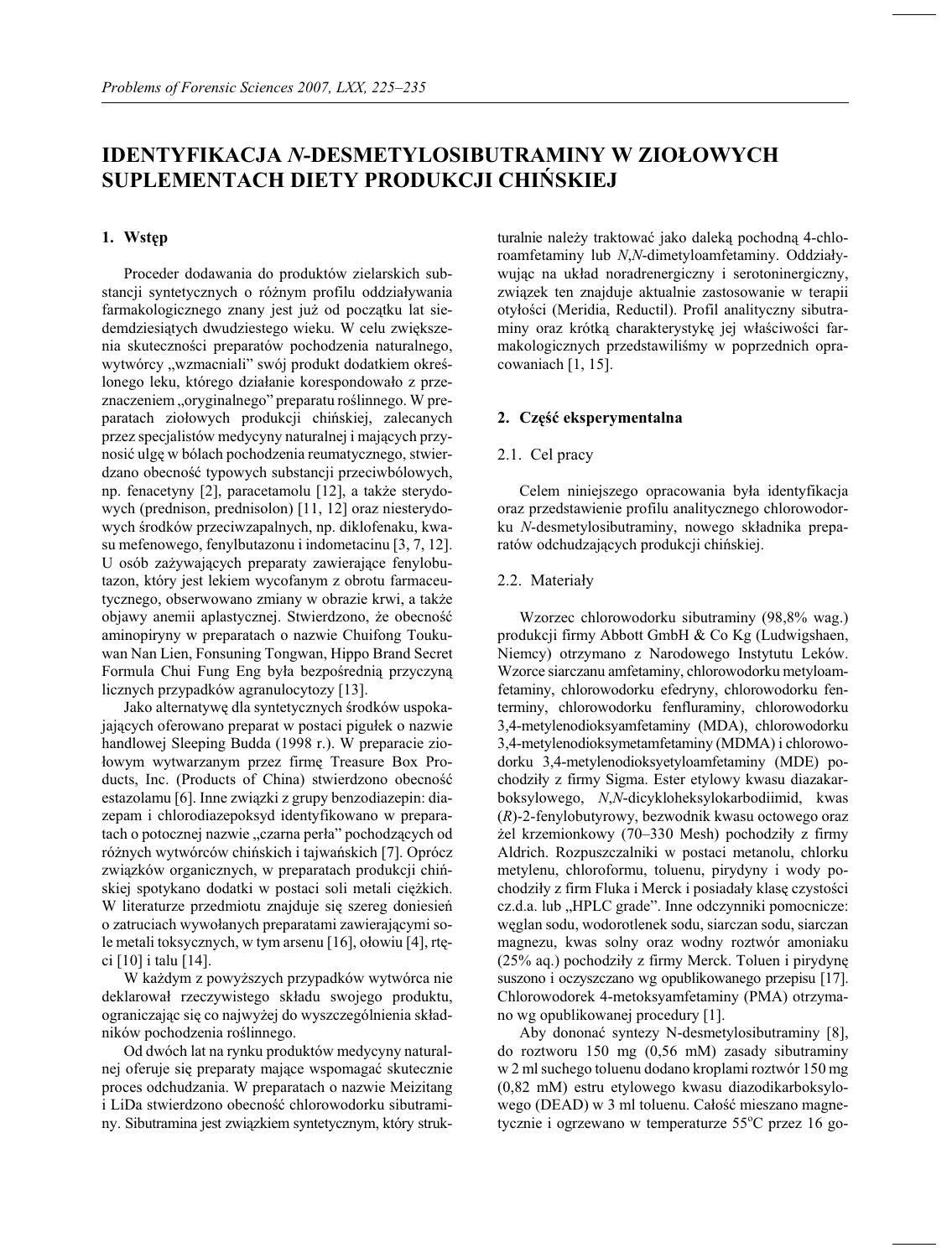# **IDENTYFIKACJA** *N***-DESMETYLOSIBUTRAMINY W ZIO£OWYCH SUPLEMENTACH DIETY PRODUKCJI CHIÑSKIEJ**

# **1. Ws têp**

Proceder dodawania do produktów zielarskich substancji syntetycznych o różnym profilu oddziaływania farmakologicznego znany jest już od początku lat siedemdziesiątych dwudziestego wieku. W celu zwiększenia skuteczności preparatów pochodzenia naturalnego, wytwórcy "wzmacniali" swój produkt dodatkiem określonego leku, którego działanie korespondowało z przeznaczeniem "oryginalnego" preparatu roślinnego. W preparatach ziołowych produkcji chińskiej, zalecanych przez specjalistów medycyny naturalnej i mających przynosić ulgę w bólach pochodzenia reumatycznego, stwierdzano obecność typowych substancji przeciwbólowych, np. fenacetyny [2], paracetamolu [12], a także sterydowych (prednison, prednisolon) [11, 12] oraz niesterydowych środków przeciwzapalnych, np. diklofenaku, kwasu me fenowego, fenylbutazonu i indometacinu [3, 7, 12]. U osób zażywających preparaty zawierające fenylobutazon, który jest lekiem wycofanym z obrotu farmaceutycznego, obserwowano zmiany w obrazie krwi, a także objawy anemii aplastycznej. Stwierdzono, że obecność aminopiryny w preparatach o nazwie Chuifong Toukuwan Nan Lien, Fonsuning Tongwan, Hippo Brand Secret Formula Chui Fung Eng była bezpośrednią przyczyną licznych przypadków agranulocytozy [13].

Jako alternatywę dla syntetycznych środków uspokajających oferowano preparat w postaci pigułek o nazwie handlowej Sleeping Budda (1998 r.). W preparacie ziołowym wytwarzanym przez firmę Treasure Box Products, Inc. (Products of China) stwierdzono obecność estazolamu [6]. Inne związki z grupy benzodiazepin: diazepam i chlorodiazepoksyd identyfikowano w preparatach o potocznej nazwie "czarna perła" pochodzących od różnych wytwórców chińskich i tajwańskich [7]. Oprócz związków organicznych, w preparatach produkcji chińskiej spotykano dodatki w postaci soli metali ciężkich. W literaturze przedmiotu znajduje się szereg doniesień o zatruciach wywołanych preparatami zawierającymi sole metali tok sycznych, w tym arsenu [16], ołowiu [4], rtęci [10] i talu [14].

W każdym z powyższych przypadków wytwórca nie deklarował rzeczywistego składu swojego produktu, ograniczając się co najwyżej do wyszczególnienia składników pochodzenia roślinnego.

Od dwóch lat na rynku produktów medycyny naturalnej oferuje się preparaty mające wspomagać skutecznie proces odchudzania. W preparatach o nazwie Meizitang i LiDa stwierdzono obecność chlorowodorku sibutraminy. Sibutramina jest związkiem syntetycznym, który strukturalnie należy traktować jako daleką pochodną 4-chloroamfetaminy lub *N*,*N*-dimetyloamfetaminy. Oddziaływując na układ noradrenergiczny i serotoninergiczny, związek ten znajduje aktualnie zastosowanie w terapii otyłości (Meridia, Reductil). Profil analityczny sibutraminy oraz krótką charakterystykę jej właściwości farmakologicznych przedstawiliśmy w poprzednich opracowaniach  $[1, 15]$ .

# 2. Część eksperymentalna

# 2.1. Cel pracy

Celem niniejszego opracowania była identyfikacja oraz przedstawienie profilu analitycznego chlorowodorku *N*-desmetylosibutraminy, nowego składnika preparatów odchudzających produkcji chińskiej.

# 2.2. Materiały

Wzorzec chlorowodorku sibutraminy (98,8% wag.) produkcji firmy Abbott GmbH & Co Kg (Ludwigshaen, Niemcy) otrzymano z Narodowego Instytutu Leków. Wzorce siarczanu amfetaminy, chlorowodorku metyloamfetaminy, chlorowodorku efedryny, chlorowodorku fenterminy, chlorowodorku fenfluraminy, chlorowodorku 3,4-metylenodioksyam fetaminy (MDA), chlorowodor ku 3,4-metylenodioksymetamfetaminy (MDMA) i chlorowodorku 3,4-metylenodioksyetyloamfetaminy (MDE) pochodziły z firmy Sigma. Ester etylowy kwasu diazakarbok sylowego, *N*,*N*-dicykloheksylokarbodiimid, kwas (*R*)-2-fenylobutyrowy, bezwodnik kwasu octowego oraz  $\text{zel krzemionkowy}$  (70–330 Mesh) pochodziły z firmy Aldrich. Rozpuszczalniki w postaci metanolu, chlorku metylenu, chloroformu, toluenu, pirydyny i wody pochodziły z firm Fluka i Merck i posiadały klasę czystości cz.d.a. lub "HPLC grade". Inne odczynniki pomocnicze: węglan sodu, wodorotlenek sodu, siarczan sodu, siarczan magnezu, kwas solny oraz wodny roztwór amoniaku  $(25\%$  aq.) pochodziły z firmy Merck. Toluen i pirydynę suszono i oczyszczano wg opublikowanego przepisu [17]. Chlorowodorek 4-metoksyamfetaminy (PMA) otrzymano wg opubliko wanej procedury [1].

Aby dononać syntezy N-desmetylosibutraminy [8], do roztworu 150 mg  $(0,56 \text{ mM})$  zasady sibutraminy w 2 ml suchego to lue nu dodano kroplami roztwór 150 mg (0,82 mM) estru etylowego kwasu diazodikarboksylowego (DEAD) w 3 ml toluenu. Całość mieszano magnetycznie i ogrzewano w temperaturze  $55^{\circ}$ C przez 16 go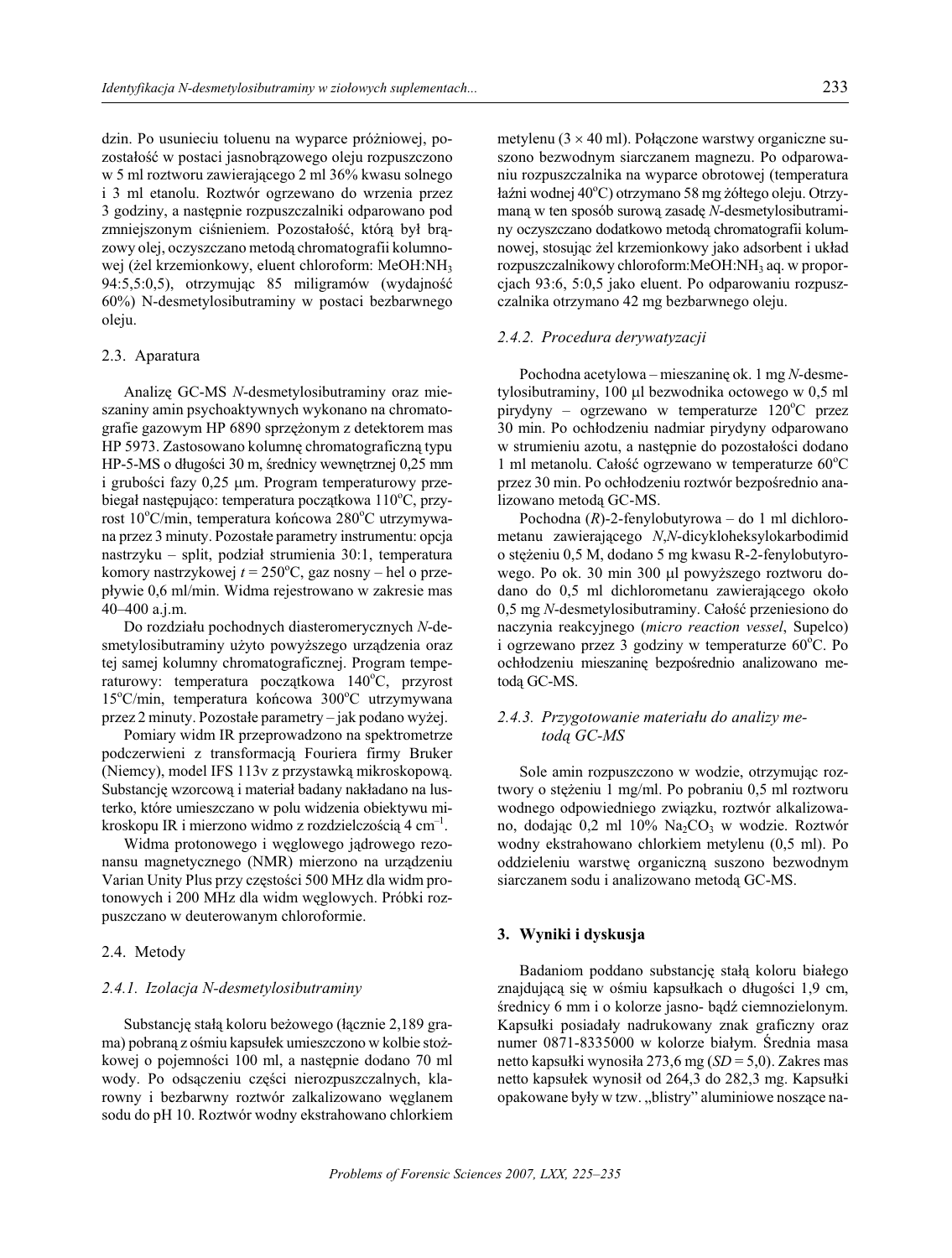dzin. Po usunieciu toluenu na wyparce próżniowej, pozostałość w postaci jasnobrązowego oleju rozpuszczono w 5 ml roztworu zawierającego 2 ml 36% kwasu solnego i 3 ml etanolu. Roztwór ogrzewano do wrzenia przez 3 godziny, a następnie rozpuszczalniki odparowano pod zmniejszonym ciśnieniem. Pozostałość, która był brazowy olej, oczyszczano metoda chromatografii kolumnowej (żel krzemionkowy, eluent chloroform: MeOH:NH<sub>3</sub> 94:5,5:0,5), otrzymując 85 miligramów (wydajność 60%) N-desmetylosibutraminy w postaci bezbarwnego oleju.

#### 2.3. Aparatura

Analizę GC-MS N-desmetylosibutraminy oraz mieszaniny amin psychoaktywnych wykonano na chromatografie gazowym HP 6890 sprzężonym z detektorem mas HP 5973. Zastosowano kolumnę chromatograficzną typu HP-5-MS o długości 30 m, średnicy wewnętrznej 0,25 mm i grubości fazy 0,25 m. Program temperaturowy przebiegał następująco: temperatura początkowa 110°C, przyrost 10°C/min, temperatura końcowa 280°C utrzymywana przez 3 minuty. Pozostałe parametry instrumentu: opcja nastrzyku – split, podział strumienia 30:1, temperatura komory nastrzykowej  $t = 250$ °C, gaz nosny – hel o przepływie 0,6 ml/min. Widma rejestrowano w zakresie mas 40-400 a.j.m.

Do rozdziału pochodnych diasteromerycznych N-desmetylosibutraminy użyto powyższego urządzenia oraz tej samej kolumny chromatograficznej. Program temperaturowy: temperatura początkowa 140°C, przyrost 15°C/min, temperatura końcowa 300°C utrzymywana przez 2 minuty. Pozostałe parametry – jak podano wyżej.

Pomiary widm IR przeprowadzono na spektrometrze podczerwieni z transformacją Fouriera firmy Bruker (Niemcy), model IFS 113v z przystawką mikroskopową. Substancję wzorcową i materiał badany nakładano na lusterko, które umieszczano w polu widzenia obiektywu mikroskopu IR i mierzono widmo z rozdzielczością 4 cm<sup>-1</sup>.

Widma protonowego i węglowego jądrowego rezonansu magnetycznego (NMR) mierzono na urządzeniu Varian Unity Plus przy częstości 500 MHz dla widm protonowych i 200 MHz dla widm węglowych. Próbki rozpuszczano w deuterowanym chloroformie.

#### 2.4. Metody

#### 2.4.1. Izolacja N-desmetylosibutraminy

Substancję stałą koloru beżowego (łącznie 2,189 grama) pobraną z ośmiu kapsułek umieszczono w kolbie stożkowej o pojemności 100 ml, a następnie dodano 70 ml wody. Po odsączeniu części nierozpuszczalnych, klarowny i bezbarwny roztwór zalkalizowano węglanem sodu do pH 10. Roztwór wodny ekstrahowano chlorkiem metylenu (3 40 ml). Połączone warstwy organiczne suszono bezwodnym siarczanem magnezu. Po odparowaniu rozpuszczalnika na wyparce obrotowej (temperatura łaźni wodnej 40°C) otrzymano 58 mg żółtego oleju. Otrzymaną w ten sposób surową zasadę N-desmetylosibutraminy oczyszczano dodatkowo metoda chromatografii kolumnowej, stosując żel krzemionkowy jako adsorbent i układ rozpuszczalnikowy chloroform: MeOH: NH<sub>3</sub> aq. w proporcjach 93:6, 5:0,5 jako eluent. Po odparowaniu rozpuszczalnika otrzymano 42 mg bezbarwnego oleju.

#### 2.4.2. Procedura derywatyzacji

Pochodna acetylowa – mieszaninę ok. 1 mg  $N$ -desmetylosibutraminy, 100 1 bezwodnika octowego w 0,5 ml pirydyny – ogrzewano w temperaturze 120°C przez 30 min. Po ochłodzeniu nadmiar pirydyny odparowano w strumieniu azotu, a następnie do pozostałości dodano 1 ml metanolu. Całość ogrzewano w temperaturze 60°C przez 30 min. Po ochłodzeniu roztwór bezpośrednio analizowano metoda GC-MS.

Pochodna  $(R)$ -2-fenylobutyrowa – do 1 ml dichlorometanu zawierającego N,N-dicykloheksylokarbodimid o stężeniu 0,5 M, dodano 5 mg kwasu R-2-fenylobutyrowego. Po ok. 30 min 300 1 powyższego roztworu dodano do 0,5 ml dichlorometanu zawierającego około 0,5 mg N-desmetylosibutraminy. Całość przeniesiono do naczynia reakcyjnego (micro reaction vessel, Supelco) i ogrzewano przez 3 godziny w temperaturze  $60^{\circ}$ C. Po ochłodzeniu mieszaninę bezpośrednio analizowano metoda GC-MS.

# 2.4.3. Przygotowanie materiału do analizy metoda GC-MS

Sole amin rozpuszczono w wodzie, otrzymując roztwory o stężeniu 1 mg/ml. Po pobraniu 0,5 ml roztworu wodnego odpowiedniego związku, roztwór alkalizowano, dodając 0,2 ml 10% Na<sub>2</sub>CO<sub>3</sub> w wodzie. Roztwór wodny ekstrahowano chlorkiem metylenu (0,5 ml). Po oddzieleniu warstwę organiczną suszono bezwodnym siarczanem sodu i analizowano metodą GC-MS.

### 3. Wyniki i dyskusja

Badaniom poddano substancję stałą koloru białego znajdującą się w ośmiu kapsułkach o długości 1,9 cm, średnicy 6 mm i o kolorze jasno- bądź ciemnozielonym. Kapsułki posiadały nadrukowany znak graficzny oraz numer 0871-8335000 w kolorze białym. Średnia masa netto kapsułki wynosiła 273,6 mg ( $SD = 5,0$ ). Zakres mas netto kapsułek wynosił od 264,3 do 282,3 mg. Kapsułki opakowane były w tzw. "blistry" aluminiowe noszące na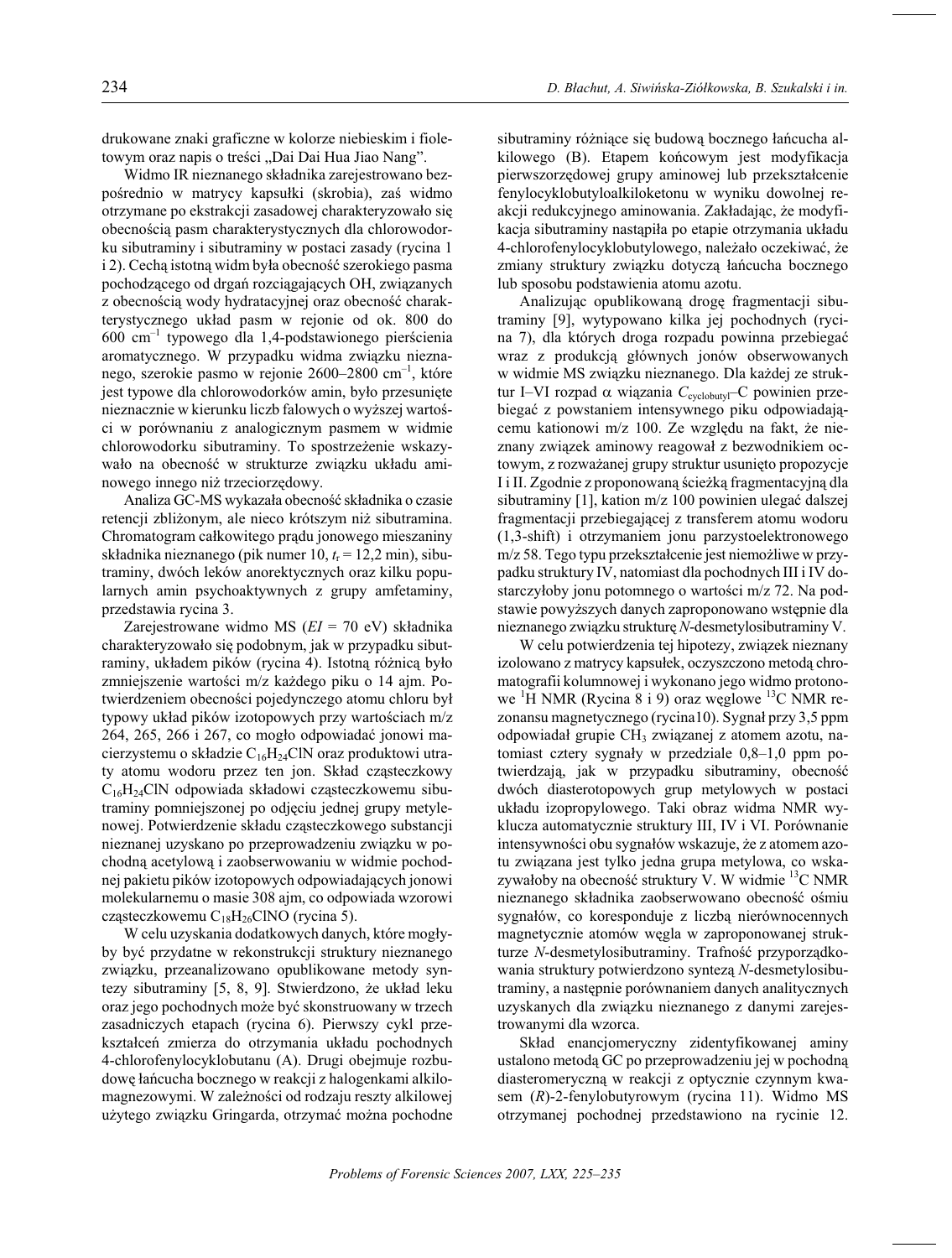drukowane znaki graficzne w kolorze niebieskim i fioletowym oraz napis o treści "Dai Dai Hua Jiao Nang".

Widmo IR nieznanego składnika zarejestrowano bezpośrednio w matrycy kapsułki (skrobia), zaś widmo otrzymane po ekstrakcji zasadowej charakteryzowało się obecnościa pasm charakterystycznych dla chlorowodorku sibutraminy i sibutraminy w postaci zasady (rycina 1 i 2). Cechą istotną widm była obecność szerokiego pasma pochodzącego od drgań rozciągających OH, związanych z obecnością wody hydratacyjnej oraz obecność charakterystycznego układ pasm w rejonie od ok. 800 do  $600 \text{ cm}^{-1}$  typowego dla 1,4-podstawionego pierścienia aromatycznego. W przypadku widma związku nieznanego, szerokie pasmo w rejonie 2600–2800 cm<sup>-1</sup>, które jest typowe dla chlorowodorków amin, było przesunięte nieznacznie w kierunku liczb falowych o wyższej wartości w porównaniu z analogicznym pasmem w widmie chlorowodorku sibutraminy. To spostrzeżenie wskazywało na obecność w strukturze związku układu aminowego innego niż trzeciorzędowy.

Analiza GC-MS wykazała obecność składnika o czasie retencji zbliżonym, ale nieco krótszym niż sibutramina. Chromatogram całkowitego prądu jonowego mieszaniny składnika nieznanego (pik numer 10,  $t_r = 12.2$  min), sibutraminy, dwóch leków anorektycznych oraz kilku popularnych amin psychoaktywnych z grupy amfetaminy, przedstawia rycina 3.

Zarejestrowane widmo MS ( $EI = 70$  eV) składnika charakteryzowało się podobnym, jak w przypadku sibutraminy, układem pików (rycina 4). Istotną różnicą było zmniejszenie wartości m/z każdego piku o 14 ajm. Potwierdzeniem obecności pojedynczego atomu chloru był typowy układ pików izotopowych przy wartościach m/z 264, 265, 266 i 267, co mogło odpowiadać jonowi macierzystemu o składzie C<sub>16</sub>H<sub>24</sub>ClN oraz produktowi utraty atomu wodoru przez ten jon. Skład cząsteczkowy  $C_{16}H_{24}CIN$  odpowiada składowi cząsteczkowemu sibutraminy pomniejszonej po odjęciu jednej grupy metylenowej. Potwierdzenie składu cząsteczkowego substancji nieznanej uzyskano po przeprowadzeniu związku w pochodną acetylową i zaobserwowaniu w widmie pochodnej pakietu pików izotopowych odpowiadających jonowi molekularnemu o masie 308 ajm, co odpowiada wzorowi cząsteczkowemu  $C_{18}H_{26}CINO$  (rycina 5).

W celu uzyskania dodatkowych danych, które mogłyby być przydatne w rekonstrukcji struktury nieznanego związku, przeanalizowano opublikowane metody syntezy sibutraminy [5, 8, 9]. Stwierdzono, że układ leku oraz jego pochodnych może być skonstruowany w trzech zasadniczych etapach (rycina 6). Pierwszy cykl przekształceń zmierza do otrzymania układu pochodnych 4-chlorofenylocyklobutanu (A). Drugi obeimuje rozbudowę łańcucha bocznego w reakcji z halogenkami alkilomagnezowymi. W zależności od rodzaju reszty alkilowej użytego związku Gringarda, otrzymać można pochodne sibutraminy różniące się budową bocznego łańcucha alkilowego (B). Etapem końcowym jest modyfikacja pierwszorzędowej grupy aminowej lub przekształcenie fenylocyklobutyloalkiloketonu w wyniku dowolnej reakcji redukcyjnego aminowania. Zakładając, że modyfikacja sibutraminy nastapiła po etapie otrzymania układu 4-chlorofenylocyklobutylowego, należało oczekiwać, że zmiany struktury związku dotyczą łańcucha bocznego lub sposobu podstawienia atomu azotu.

Analizując opublikowaną drogę fragmentacji sibutraminy [9], wytypowano kilka jej pochodnych (rycina 7), dla których droga rozpadu powinna przebiegać wraz z produkcją głównych jonów obserwowanych w widmie MS związku nieznanego. Dla każdej ze struktur I-VI rozpad viązania  $C_{\text{cyclobutyl}}$ -C powinien przebiegać z powstaniem intensywnego piku odpowiadającemu kationowi m/z 100. Ze względu na fakt, że nieznany związek aminowy reagował z bezwodnikiem octowym, z rozważanej grupy struktur usunięto propozycje I i II. Zgodnie z proponowaną ścieżką fragmentacyjną dla sibutraminy [1], kation m/z 100 powinien ulegać dalszej fragmentacji przebiegającej z transferem atomu wodoru (1,3-shift) i otrzymaniem jonu parzystoelektronowego m/z 58. Tego typu przekształcenie jest niemożliwe w przypadku struktury IV, natomiast dla pochodnych III i IV dostarczyłoby jonu potomnego o wartości m/z 72. Na podstawie powyższych danych zaproponowano wstępnie dla nieznanego związku strukturę N-desmetylosibutraminy V.

W celu potwierdzenia tej hipotezy, związek nieznany izolowano z matrycy kapsułek, oczyszczono metodą chromatografii kolumnowej i wykonano jego widmo protonowe  $H NMR$  (Rycina 8 i 9) oraz weglowe  $^{13}C NMR$  rezonansu magnetycznego (rycina10). Sygnał przy 3,5 ppm odpowiadał grupie CH<sub>3</sub> związanej z atomem azotu, natomiast cztery sygnały w przedziale 0,8-1,0 ppm potwierdzają, jak w przypadku sibutraminy, obecność dwóch diasterotopowych grup metylowych w postaci układu izopropylowego. Taki obraz widma NMR wyklucza automatycznie struktury III, IV i VI. Porównanie intensywności obu sygnałów wskazuje, że z atomem azotu związana jest tylko jedna grupa metylowa, co wskazywałoby na obecność struktury V. W widmie <sup>13</sup>C NMR nieznanego składnika zaobserwowano obecność ośmiu sygnałów, co koresponduje z liczbą nierównocennych magnetycznie atomów węgla w zaproponowanej strukturze N-desmetylosibutraminy. Trafność przyporządkowania struktury potwierdzono syntezą N-desmetylosibutraminy, a następnie porównaniem danych analitycznych uzyskanych dla związku nieznanego z danymi zarejestrowanymi dla wzorca.

Skład enancjomeryczny zidentyfikowanej aminy ustalono metoda GC po przeprowadzeniu jej w pochodna diasteromeryczną w reakcji z optycznie czynnym kwasem (R)-2-fenylobutyrowym (rycina 11). Widmo MS otrzymanej pochodnej przedstawiono na rycinie 12.